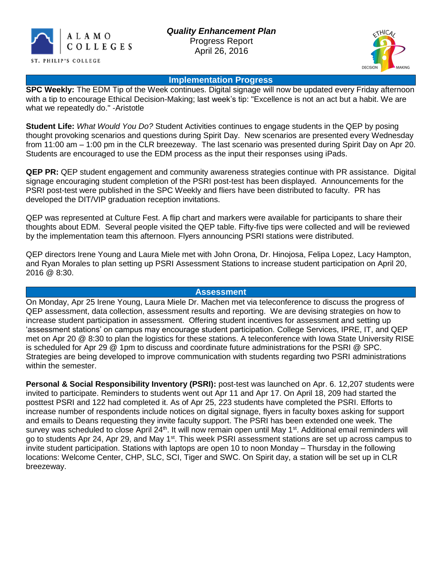



#### **Implementation Progress**

**SPC Weekly:** The EDM Tip of the Week continues. Digital signage will now be updated every Friday afternoon with a tip to encourage Ethical Decision-Making; last week's tip: "Excellence is not an act but a habit. We are what we repeatedly do." -Aristotle

**Student Life:** *What Would You Do?* Student Activities continues to engage students in the QEP by posing thought provoking scenarios and questions during Spirit Day. New scenarios are presented every Wednesday from 11:00 am – 1:00 pm in the CLR breezeway. The last scenario was presented during Spirit Day on Apr 20. Students are encouraged to use the EDM process as the input their responses using iPads.

**QEP PR:** QEP student engagement and community awareness strategies continue with PR assistance. Digital signage encouraging student completion of the PSRI post-test has been displayed. Announcements for the PSRI post-test were published in the SPC Weekly and fliers have been distributed to faculty. PR has developed the DIT/VIP graduation reception invitations.

QEP was represented at Culture Fest. A flip chart and markers were available for participants to share their thoughts about EDM. Several people visited the QEP table. Fifty-five tips were collected and will be reviewed by the implementation team this afternoon. Flyers announcing PSRI stations were distributed.

QEP directors Irene Young and Laura Miele met with John Orona, Dr. Hinojosa, Felipa Lopez, Lacy Hampton, and Ryan Morales to plan setting up PSRI Assessment Stations to increase student participation on April 20, 2016 @ 8:30.

## **Assessment**

On Monday, Apr 25 Irene Young, Laura Miele Dr. Machen met via teleconference to discuss the progress of QEP assessment, data collection, assessment results and reporting. We are devising strategies on how to increase student participation in assessment. Offering student incentives for assessment and setting up 'assessment stations' on campus may encourage student participation. College Services, IPRE, IT, and QEP met on Apr 20 @ 8:30 to plan the logistics for these stations. A teleconference with Iowa State University RISE is scheduled for Apr 29 @ 1pm to discuss and coordinate future administrations for the PSRI @ SPC. Strategies are being developed to improve communication with students regarding two PSRI administrations within the semester.

**Personal & Social Responsibility Inventory (PSRI):** post-test was launched on Apr. 6. 12,207 students were invited to participate. Reminders to students went out Apr 11 and Apr 17. On April 18, 209 had started the posttest PSRI and 122 had completed it. As of Apr 25, 223 students have completed the PSRI. Efforts to increase number of respondents include notices on digital signage, flyers in faculty boxes asking for support and emails to Deans requesting they invite faculty support. The PSRI has been extended one week. The survey was scheduled to close April 24<sup>th</sup>. It will now remain open until May 1<sup>st</sup>. Additional email reminders will go to students Apr 24, Apr 29, and May 1<sup>st</sup>. This week PSRI assessment stations are set up across campus to invite student participation. Stations with laptops are open 10 to noon Monday – Thursday in the following locations: Welcome Center, CHP, SLC, SCI, Tiger and SWC. On Spirit day, a station will be set up in CLR breezeway.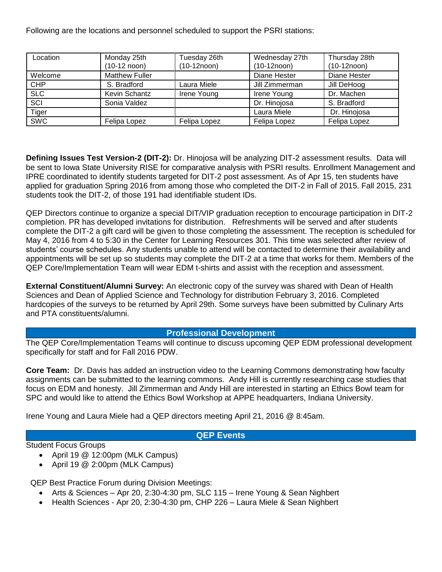Following are the locations and personnel scheduled to support the PSRI stations:

| Location   | Monday 25th<br>$(10-12 \text{ noon})$ | Tuesday 26th<br>$(10-12noon)$ | Wednesday 27th<br>$(10-12noon)$ | Thursday 28th<br>$(10-12noon)$ |
|------------|---------------------------------------|-------------------------------|---------------------------------|--------------------------------|
| Welcome    | <b>Matthew Fuller</b>                 |                               | Diane Hester                    | Diane Hester                   |
| <b>CHP</b> | S. Bradford                           | Laura Miele                   | Jill Zimmerman                  | Jill DeHoog                    |
| SLC        | Kevin Schantz                         | Irene Young                   | Irene Young                     | Dr. Machen                     |
| SCI        | Sonia Valdez                          |                               | Dr. Hinojosa                    | S. Bradford                    |
| Tiger      |                                       |                               | Laura Miele                     | Dr. Hinojosa                   |
| <b>SWC</b> | Felipa Lopez                          | Felipa Lopez                  | Felipa Lopez                    | Felipa Lopez                   |

**Defining Issues Test Version-2 (DIT-2):** Dr. Hinojosa will be analyzing DIT-2 assessment results. Data will be sent to Iowa State University RISE for comparative analysis with PSRI results. Enrollment Management and IPRE coordinated to identify students targeted for DIT-2 post assessment. As of Apr 15, ten students have applied for graduation Spring 2016 from among those who completed the DIT-2 in Fall of 2015. Fall 2015, 231 students took the DIT-2, of those 191 had identifiable student IDs.

QEP Directors continue to organize a special DIT/VIP graduation reception to encourage participation in DIT-2 completion. PR has developed invitations for distribution. Refreshments will be served and after students complete the DIT-2 a gift card will be given to those completing the assessment. The reception is scheduled for May 4, 2016 from 4 to 5:30 in the Center for Learning Resources 301. This time was selected after review of students' course schedules. Any students unable to attend will be contacted to determine their availability and appointments will be set up so students may complete the DIT-2 at a time that works for them. Members of the QEP Core/Implementation Team will wear EDM t-shirts and assist with the reception and assessment.

**External Constituent/Alumni Survey:** An electronic copy of the survey was shared with Dean of Health Sciences and Dean of Applied Science and Technology for distribution February 3, 2016. Completed hardcopies of the surveys to be returned by April 29th. Some surveys have been submitted by Culinary Arts and PTA constituents/alumni.

#### **Professional Development**

The QEP Core/Implementation Teams will continue to discuss upcoming QEP EDM professional development specifically for staff and for Fall 2016 PDW.

**Core Team:** Dr. Davis has added an instruction video to the Learning Commons demonstrating how faculty assignments can be submitted to the learning commons. Andy Hill is currently researching case studies that focus on EDM and honesty. Jill Zimmerman and Andy Hill are interested in starting an Ethics Bowl team for SPC and would like to attend the Ethics Bowl Workshop at APPE headquarters, Indiana University.

Irene Young and Laura Miele had a QEP directors meeting April 21, 2016 @ 8:45am.

## **QEP Events**

Student Focus Groups

- April 19 @ 12:00pm (MLK Campus)
- April 19 @ 2:00pm (MLK Campus)

QEP Best Practice Forum during Division Meetings:

- Arts & Sciences Apr 20, 2:30-4:30 pm, SLC 115 Irene Young & Sean Nighbert
- Health Sciences Apr 20, 2:30-4:30 pm, CHP 226 Laura Miele & Sean Nighbert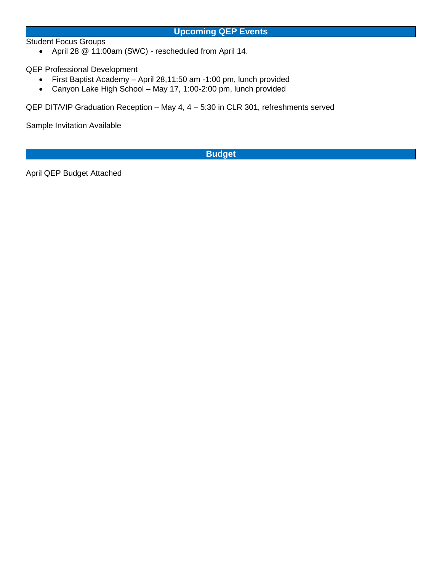Student Focus Groups

April 28 @ 11:00am (SWC) - rescheduled from April 14.

QEP Professional Development

- First Baptist Academy April 28,11:50 am -1:00 pm, lunch provided
- Canyon Lake High School May 17, 1:00-2:00 pm, lunch provided

QEP DIT/VIP Graduation Reception – May 4, 4 – 5:30 in CLR 301, refreshments served

Sample Invitation Available

**Budget**

April QEP Budget Attached